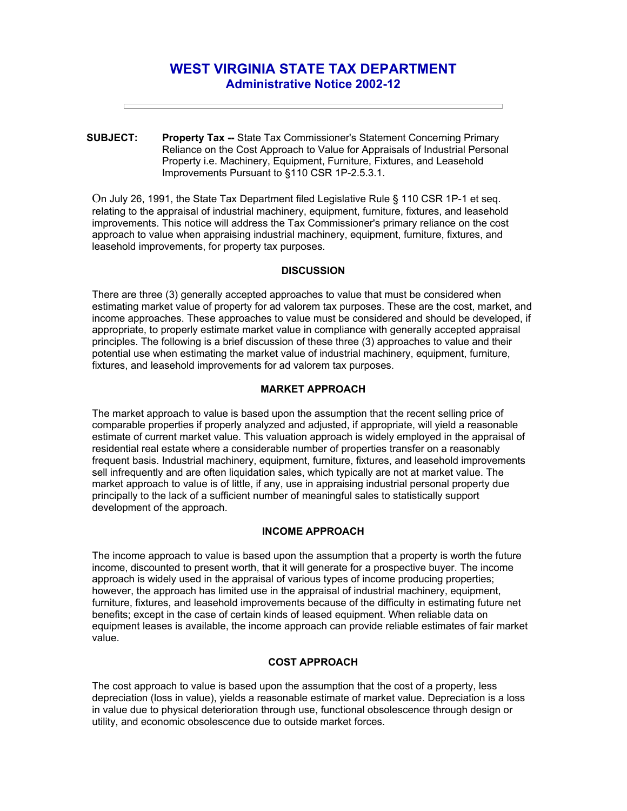# **WEST VIRGINIA STATE TAX DEPARTMENT Administrative Notice 2002-12**

**SUBJECT: Property Tax --** State Tax Commissioner's Statement Concerning Primary Reliance on the Cost Approach to Value for Appraisals of Industrial Personal Property i.e. Machinery, Equipment, Furniture, Fixtures, and Leasehold Improvements Pursuant to §110 CSR 1P-2.5.3.1.

On July 26, 1991, the State Tax Department filed Legislative Rule § 110 CSR 1P-1 et seq. relating to the appraisal of industrial machinery, equipment, furniture, fixtures, and leasehold improvements. This notice will address the Tax Commissioner's primary reliance on the cost approach to value when appraising industrial machinery, equipment, furniture, fixtures, and leasehold improvements, for property tax purposes.

## **DISCUSSION**

There are three (3) generally accepted approaches to value that must be considered when estimating market value of property for ad valorem tax purposes. These are the cost, market, and income approaches. These approaches to value must be considered and should be developed, if appropriate, to properly estimate market value in compliance with generally accepted appraisal principles. The following is a brief discussion of these three (3) approaches to value and their potential use when estimating the market value of industrial machinery, equipment, furniture, fixtures, and leasehold improvements for ad valorem tax purposes.

#### **MARKET APPROACH**

The market approach to value is based upon the assumption that the recent selling price of comparable properties if properly analyzed and adjusted, if appropriate, will yield a reasonable estimate of current market value. This valuation approach is widely employed in the appraisal of residential real estate where a considerable number of properties transfer on a reasonably frequent basis. Industrial machinery, equipment, furniture, fixtures, and leasehold improvements sell infrequently and are often liquidation sales, which typically are not at market value. The market approach to value is of little, if any, use in appraising industrial personal property due principally to the lack of a sufficient number of meaningful sales to statistically support development of the approach.

# **INCOME APPROACH**

The income approach to value is based upon the assumption that a property is worth the future income, discounted to present worth, that it will generate for a prospective buyer. The income approach is widely used in the appraisal of various types of income producing properties; however, the approach has limited use in the appraisal of industrial machinery, equipment, furniture, fixtures, and leasehold improvements because of the difficulty in estimating future net benefits; except in the case of certain kinds of leased equipment. When reliable data on equipment leases is available, the income approach can provide reliable estimates of fair market value.

## **COST APPROACH**

The cost approach to value is based upon the assumption that the cost of a property, less depreciation (loss in value), yields a reasonable estimate of market value. Depreciation is a loss in value due to physical deterioration through use, functional obsolescence through design or utility, and economic obsolescence due to outside market forces.